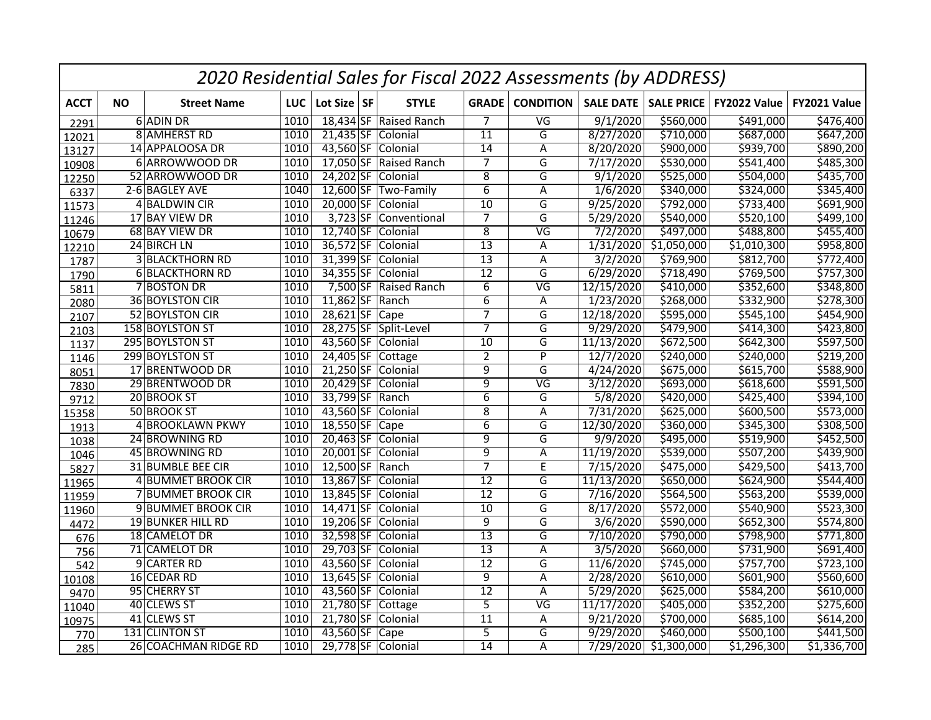|             |           |                          |            |                 | 2020 Residential Sales for Fiscal 2022 Assessments (by ADDRESS) |                 |                          |                       |                   |                       |              |
|-------------|-----------|--------------------------|------------|-----------------|-----------------------------------------------------------------|-----------------|--------------------------|-----------------------|-------------------|-----------------------|--------------|
| <b>ACCT</b> | <b>NO</b> | <b>Street Name</b>       | <b>LUC</b> | Lot Size SF     | <b>STYLE</b>                                                    | <b>GRADE</b>    | <b>CONDITION</b>         | <b>SALE DATE</b>      | <b>SALE PRICE</b> | FY2022 Value          | FY2021 Value |
| 2291        |           | 6 ADIN DR                | 1010       |                 | 18,434 SF Raised Ranch                                          | $\overline{7}$  | $\overline{\mathsf{VG}}$ | 9/1/2020              | \$560,000         | \$491,000             | \$476,400    |
| 12021       |           | 8 AMHERST RD             | 1010       | $21,435$ SF     | Colonial                                                        | $\overline{11}$ | G                        | 8/27/2020             | \$710,000         | \$687,000             | \$647,200    |
| 13127       |           | 14 APPALOOSA DR          | 1010       |                 | 43,560 SF Colonial                                              | $\overline{14}$ | Α                        | 8/20/2020             | \$900,000         | \$939,700             | \$890,200    |
| 10908       |           | 6 ARROWWOOD DR           | 1010       |                 | 17,050 SF Raised Ranch                                          | $\overline{7}$  | G                        | 7/17/2020             | \$530,000         | \$541,400             | \$485,300    |
| 12250       |           | 52 ARROWWOOD DR          | 1010       | 24,202 SF       | Colonial                                                        | $\overline{8}$  | G                        | 9/1/2020              | \$525,000         | \$504,000             | \$435,700    |
| 6337        |           | 2-6 BAGLEY AVE           | 1040       |                 | 12,600 SF Two-Family                                            | $\overline{6}$  | Α                        | 1/6/2020              | \$340,000         | $\overline{$}324,000$ | \$345,400    |
| 11573       |           | 4 BALDWIN CIR            | 1010       |                 | 20,000 SF Colonial                                              | 10              | G                        | 9/25/2020             | \$792,000         | \$733,400             | 5691,900     |
| 11246       |           | 17 BAY VIEW DR           | 1010       | $3,723$ SF      | Conventional                                                    | 7               | $\overline{\mathsf{G}}$  | $\frac{1}{5/29/2020}$ | \$540,000         | \$520,100             | \$499,100    |
| 10679       |           | 68 BAY VIEW DR           | 1010       | 12,740 SF       | Colonial                                                        | $\overline{8}$  | $\overline{\mathsf{VG}}$ | 7/2/2020              | \$497,000         | \$488,800             | \$455,400    |
| 12210       |           | 24 BIRCH LN              | 1010       | 36,572 SF       | Colonial                                                        | $\overline{13}$ | Α                        | 1/31/2020             | 51,050,000        | 51,010,300            | \$958,800    |
| 1787        |           | <b>3 BLACKTHORN RD</b>   | 1010       | 31,399 SF       | Colonial                                                        | $\overline{13}$ | A                        | 3/2/2020              | \$769,900         | \$812,700             | \$772,400    |
| 1790        |           | 6 BLACKTHORN RD          | 1010       | 34,355 SF       | Colonial                                                        | 12              | G                        | 6/29/2020             | \$718,490         | \$769,500             | \$757,300    |
| 5811        |           | <b>7 BOSTON DR</b>       | 1010       | 7,500 SF        | Raised Ranch                                                    | $\overline{6}$  | $\overline{\mathsf{VG}}$ | 12/15/2020            | \$410,000         | \$352,600             | \$348,800    |
| 2080        |           | 36 BOYLSTON CIR          | 1010       | 11,862 SF       | Ranch                                                           | $\overline{6}$  | Α                        | 1/23/2020             | \$268,000         | \$332,900             | \$278,300    |
| 2107        |           | 52 BOYLSTON CIR          | 1010       | $28,621$ SF     | Cape                                                            | $\overline{7}$  | G                        | 12/18/2020            | \$595,000         | \$545,100             | \$454,900    |
| 2103        |           | 158 BOYLSTON ST          | 1010       | 28,275 SF       | Split-Level                                                     | 7               | G                        | 9/29/2020             | \$479,900         | 5414,300              | \$423,800    |
| 1137        |           | 295 BOYLSTON ST          | 1010       | 43,560 SF       | Colonial                                                        | $\overline{10}$ | G                        | 11/13/2020            | \$672,500         | \$642,300             | \$597,500    |
| 1146        |           | 299 BOYLSTON ST          | 1010       | 24,405 SF       | Cottage                                                         | $\overline{2}$  | P                        | 12/7/2020             | \$240,000         | \$240,000             | \$219,200    |
| 8051        |           | 17 BRENTWOOD DR          | 1010       | 21,250 SF       | Colonial                                                        | $\overline{9}$  | G                        | 4/24/2020             | \$675,000         | \$615,700             | \$588,900    |
| 7830        |           | 29 BRENTWOOD DR          | 1010       | 20,429 SF       | Colonial                                                        | 9               | $\overline{\mathsf{VG}}$ | 3/12/2020             | \$693,000         | \$618,600             | \$591,500    |
| 9712        |           | 20 BROOK ST              | 1010       | 33,799 SF       | Ranch                                                           | $\overline{6}$  | G                        | 5/8/2020              | \$420,000         | \$425,400             | \$394,100    |
| 15358       |           | 50 BROOK ST              | 1010       | 43,560 SF       | Colonial                                                        | $\overline{8}$  | Α                        | 7/31/2020             | \$625,000         | \$600,500             | \$573,000    |
| 1913        |           | 4 BROOKLAWN PKWY         | 1010       | $18,550$ SF     | $\overline{)$ Cape                                              | $\overline{6}$  | G                        | 12/30/2020            | \$360,000         | \$345,300             | \$308,500    |
| 1038        |           | 24 BROWNING RD           | 1010       |                 | 20,463 SF Colonial                                              | $\overline{9}$  | G                        | 9/9/2020              | \$495,000         | \$519,900             | \$452,500    |
| 1046        |           | 45 BROWNING RD           | 1010       | $20,001$ SF     | Colonial                                                        | $\overline{9}$  | Α                        | 11/19/2020            | \$539,000         | \$507,200             | \$439,900    |
| 5827        |           | <b>31 BUMBLE BEE CIR</b> | 1010       | 12,500 SF Ranch |                                                                 | $\overline{7}$  | $\overline{E}$           | 7/15/2020             | \$475,000         | \$429,500             | \$413,700    |
| 11965       |           | 4 BUMMET BROOK CIR       | 1010       |                 | 13,867 SF Colonial                                              | $\overline{12}$ | G                        | 11/13/2020            | \$650,000         | 5624,900              | \$544,400    |
| 11959       |           | 7 BUMMET BROOK CIR       | 1010       |                 | 13,845 SF Colonial                                              | 12              | G                        | 7/16/2020             | \$564,500         | 5563,200              | \$539,000    |
| 11960       |           | 9 BUMMET BROOK CIR       | 1010       | 14,471 SF       | Colonial                                                        | $\overline{10}$ | $\overline{\mathsf{G}}$  | 8/17/2020             | \$572,000         | \$540,900             | \$523,300    |
| 4472        |           | <b>19 BUNKER HILL RD</b> | 1010       |                 | 19,206 SF Colonial                                              | $\overline{9}$  | G                        | 3/6/2020              | \$590,000         | \$652,300             | \$574,800    |
| 676         |           | 18 CAMELOT DR            | 1010       | 32,598 SF       | Colonial                                                        | $\overline{13}$ | $\overline{\mathsf{G}}$  | 7/10/2020             | \$790,000         | \$798,900             | \$771,800    |
| 756         |           | 71 CAMELOT DR            | 1010       | 29,703 SF       | Colonial                                                        | $\overline{13}$ | A                        | 3/5/2020              | \$660,000         | \$731,900             | \$691,400    |
| 542         |           | 9 CARTER RD              | 1010       | 43,560 SF       | Colonial                                                        | 12              | G                        | 11/6/2020             | \$745,000         | \$757,700             | \$723,100    |
| 10108       |           | 16 CEDAR RD              | 1010       | $13,645$ SF     | Colonial                                                        | $\overline{9}$  | $\overline{A}$           | 2/28/2020             | \$610,000         | \$601,900             | \$560,600    |
| 9470        |           | 95 CHERRY ST             | 1010       | 43,560 SF       | Colonial                                                        | $\overline{12}$ | A                        | 5/29/2020             | \$625,000         | \$584,200             | \$610,000    |
| 11040       |           | 40 CLEWS ST              | 1010       | 21,780 SF       | Cottage                                                         | $\overline{5}$  | $\overline{\mathsf{VG}}$ | 11/17/2020            | \$405,000         | 5352,200              | \$275,600    |
| 10975       |           | 41 CLEWS ST              | 1010       | 21,780 SF       | Colonial                                                        | $\overline{11}$ | Α                        | 9/21/2020             | \$700,000         | \$685,100             | \$614,200    |
| 770         |           | 131 CLINTON ST           | 1010       | 43,560 SF       | Cape                                                            | $\overline{5}$  | G                        | 9/29/2020             | \$460,000         | \$500,100             | \$441,500    |
| 285         |           | 26 COACHMAN RIDGE RD     | 1010       |                 | 29,778 SF Colonial                                              | $\overline{14}$ | A                        | 7/29/2020             | \$1,300,000       | \$1,296,300           | \$1,336,700  |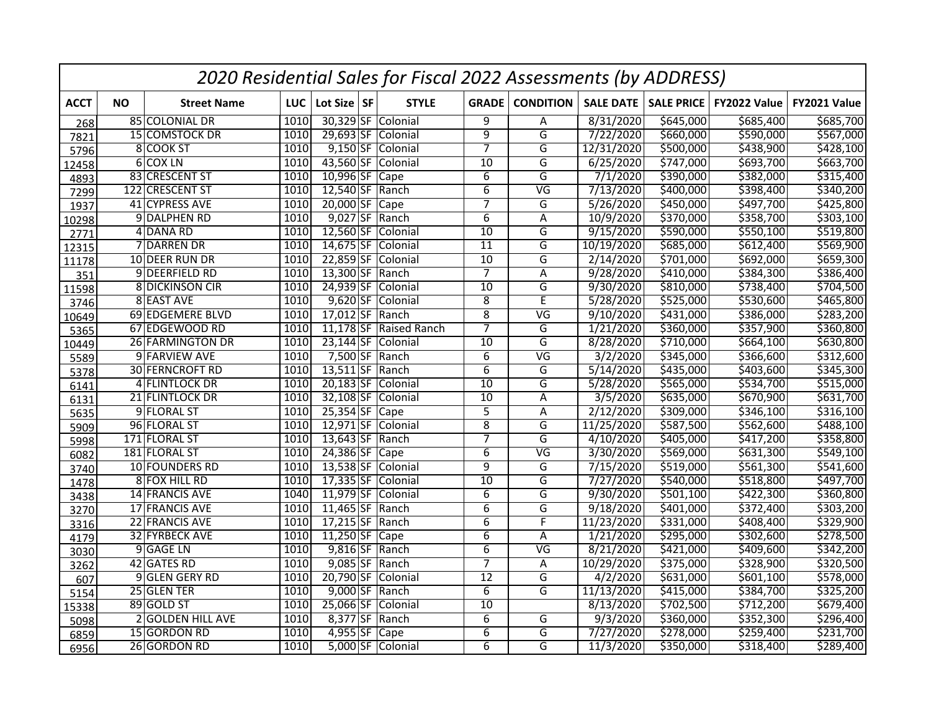|             |           |                        |      |                 | 2020 Residential Sales for Fiscal 2022 Assessments (by ADDRESS) |                 |                          |                     |                   |              |              |
|-------------|-----------|------------------------|------|-----------------|-----------------------------------------------------------------|-----------------|--------------------------|---------------------|-------------------|--------------|--------------|
| <b>ACCT</b> | <b>NO</b> | <b>Street Name</b>     | LUC  | Lot Size SF     | <b>STYLE</b>                                                    | <b>GRADE</b>    | <b>CONDITION</b>         | <b>SALE DATE</b>    | <b>SALE PRICE</b> | FY2022 Value | FY2021 Value |
| 268         |           | 85 COLONIAL DR         | 1010 |                 | 30,329 SF Colonial                                              | 9               | A                        | 8/31/2020           | \$645,000         | \$685,400    | \$685,700    |
| 7821        |           | 15 COMSTOCK DR         | 1010 |                 | 29,693 SF Colonial                                              | $\overline{9}$  | $\overline{G}$           | 7/22/2020           | \$660,000         | \$590,000    | \$567,000    |
| 5796        |           | 8 COOK ST              | 1010 |                 | 9,150 SF Colonial                                               | 7               | G                        | 12/31/2020          | \$500,000         | \$438,900    | \$428,100    |
| 12458       |           | 6 COX LN               | 1010 |                 | 43,560 SF Colonial                                              | 10              | G                        | 6/25/2020           | \$747,000         | \$693,700    | \$663,700    |
| 4893        |           | 83 CRESCENT ST         | 1010 | 10,996 SF Cape  |                                                                 | 6               | G                        | 7/1/2020            | \$390,000         | \$382,000    | \$315,400    |
| 7299        |           | 122 CRESCENT ST        | 1010 | 12,540 SF Ranch |                                                                 | $\overline{6}$  | $\overline{\mathsf{VG}}$ | 7/13/2020           | \$400,000         | \$398,400    | \$340,200    |
| 1937        |           | 41 CYPRESS AVE         | 1010 | 20,000 SF Cape  |                                                                 | $\overline{7}$  | G                        | 5/26/2020           | \$450,000         | \$497,700    | \$425,800    |
| 10298       |           | 9 DALPHEN RD           | 1010 |                 | 9,027 SF Ranch                                                  | $\overline{6}$  | Α                        | 10/9/2020           | \$370,000         | \$358,700    | \$303,100    |
| 2771        |           | 4 DANA RD              | 1010 |                 | 12,560 SF Colonial                                              | 10              | G                        | 9/15/2020           | \$590,000         | \$550,100    | \$519,800    |
| 12315       |           | 7 DARREN DR            | 1010 | $14,675$ SF     | Colonial                                                        | $\overline{11}$ | $\overline{G}$           | 10/19/2020          | \$685,000         | \$612,400    | \$569,900    |
| 11178       |           | 10 DEER RUN DR         | 1010 | 22,859 SF       | Colonial                                                        | $\overline{10}$ | G                        | 2/14/2020           | \$701,000         | \$692,000    | \$659,300    |
| 351         |           | 9 DEERFIELD RD         | 1010 | 13,300 SF Ranch |                                                                 | $\overline{7}$  | Α                        | 9/28/2020           | \$410,000         | \$384,300    | \$386,400    |
| 11598       |           | <b>8 DICKINSON CIR</b> | 1010 | 24,939 SF       | Colonial                                                        | $\overline{10}$ | G                        | 9/30/2020           | \$810,000         | \$738,400    | \$704,500    |
| 3746        |           | 8 EAST AVE             | 1010 | $9,620$ SF      | Colonial                                                        | 8               | E                        | 5/28/2020           | \$525,000         | \$530,600    | \$465,800    |
| 10649       |           | 69 EDGEMERE BLVD       | 1010 | 17,012 SF Ranch |                                                                 | $\overline{8}$  | $\overline{\mathsf{VG}}$ | 9/10/2020           | \$431,000         | \$386,000    | \$283,200    |
| 5365        |           | 67 EDGEWOOD RD         | 1010 | $11,178$ SF     | <b>Raised Ranch</b>                                             | 7               | $\overline{\mathsf{G}}$  | 1/21/2020           | \$360,000         | \$357,900    | \$360,800    |
| 10449       |           | 26 FARMINGTON DR       | 1010 | $23,144$ SF     | Colonial                                                        | 10              | G                        | 8/28/2020           | \$710,000         | \$664,100    | \$630,800    |
| 5589        |           | 9 FARVIEW AVE          | 1010 |                 | $7,500$ SF Ranch                                                | $\overline{6}$  | $\overline{\mathsf{VG}}$ | 3/2/2020            | \$345,000         | \$366,600    | \$312,600    |
| 5378        |           | <b>30 FERNCROFT RD</b> | 1010 | $13,511$ SF     | Ranch                                                           | $\overline{6}$  | G                        | 5/14/2020           | \$435,000         | \$403,600    | \$345,300    |
| 6141        |           | 4 FLINTLOCK DR         | 1010 |                 | 20,183 SF Colonial                                              | 10              | G                        | 5/28/2020           | \$565,000         | \$534,700    | \$515,000    |
| 6131        |           | 21 FLINTLOCK DR        | 1010 | 32,108 SF       | Colonial                                                        | $\overline{10}$ | A                        | 3/5/2020            | \$635,000         | \$670,900    | \$631,700    |
| 5635        |           | 9 FLORAL ST            | 1010 | 25,354 SF Cape  |                                                                 | $\overline{5}$  | A                        | 2/12/2020           | \$309,000         | \$346,100    | \$316,100    |
| 5909        |           | 96 FLORAL ST           | 1010 |                 | 12,971 SF Colonial                                              | $\overline{8}$  | G                        | 11/25/2020          | \$587,500         | \$562,600    | \$488,100    |
| 5998        |           | 171 FLORAL ST          | 1010 | 13,643 SF Ranch |                                                                 | 7               | G                        | 4/10/2020           | \$405,000         | \$417,200    | \$358,800    |
| 6082        |           | 181 FLORAL ST          | 1010 | 24,386 SF Cape  |                                                                 | 6               | $\overline{\mathsf{VG}}$ | $\frac{3}{30/2020}$ | \$569,000         | \$631,300    | \$549,100    |
| 3740        |           | 10 FOUNDERS RD         | 1010 |                 | 13,538 SF Colonial                                              | $\overline{9}$  | $\overline{G}$           | 7/15/2020           | \$519,000         | \$561,300    | \$541,600    |
| 1478        |           | 8 FOX HILL RD          | 1010 |                 | 17,335 SF Colonial                                              | $\overline{10}$ | $\overline{\mathsf{G}}$  | 7/27/2020           | \$540,000         | \$518,800    | \$497,700    |
| 3438        |           | 14 FRANCIS AVE         | 1040 |                 | 11,979 SF Colonial                                              | $\overline{6}$  | G                        | 9/30/2020           | \$501,100         | \$422,300    | \$360,800    |
| 3270        |           | 17 FRANCIS AVE         | 1010 | 11,465 SF Ranch |                                                                 | $\overline{6}$  | $\overline{\mathsf{G}}$  | 9/18/2020           | \$401,000         | \$372,400    | \$303,200    |
| 3316        |           | 22 FRANCIS AVE         | 1010 | 17,215 SF Ranch |                                                                 | $\overline{6}$  | F                        | 11/23/2020          | \$331,000         | \$408,400    | \$329,900    |
| 4179        |           | 32 FYRBECK AVE         | 1010 | 11,250 SF Cape  |                                                                 | $6\overline{6}$ | Α                        | 1/21/2020           | \$295,000         | \$302,600    | \$278,500    |
| 3030        |           | 9 GAGE LN              | 1010 |                 | 9,816 SF Ranch                                                  | $\overline{6}$  | $\overline{\mathsf{VG}}$ | 8/21/2020           | \$421,000         | \$409,600    | \$342,200    |
| 3262        |           | 42 GATES RD            | 1010 |                 | $9,085$ SF Ranch                                                | $\overline{7}$  | Α                        | 10/29/2020          | \$375,000         | \$328,900    | \$320,500    |
| 607         |           | 9 GLEN GERY RD         | 1010 |                 | 20,790 SF Colonial                                              | $\overline{12}$ | $\overline{G}$           | 4/2/2020            | \$631,000         | \$601,100    | \$578,000    |
| 5154        |           | 25 GLEN TER            | 1010 |                 | $9,000$ SF Ranch                                                | $\overline{6}$  | G                        | 11/13/2020          | \$415,000         | \$384,700    | \$325,200    |
| 15338       |           | 89 GOLD ST             | 1010 |                 | 25,066 SF Colonial                                              | 10              |                          | 8/13/2020           | \$702,500         | \$712,200    | \$679,400    |
| 5098        |           | 2 GOLDEN HILL AVE      | 1010 | $8,377$ SF      | Ranch                                                           | $\overline{6}$  | G                        | 9/3/2020            | \$360,000         | \$352,300    | \$296,400    |
| 6859        |           | 15 GORDON RD           | 1010 | 4,955 SF Cape   |                                                                 | $\overline{6}$  | G                        | 7/27/2020           | \$278,000         | \$259,400    | \$231,700    |
| 6956        |           | 26 GORDON RD           | 1010 |                 | 5,000 SF Colonial                                               | 6               | G                        | 11/3/2020           | \$350,000         | \$318,400    | \$289,400    |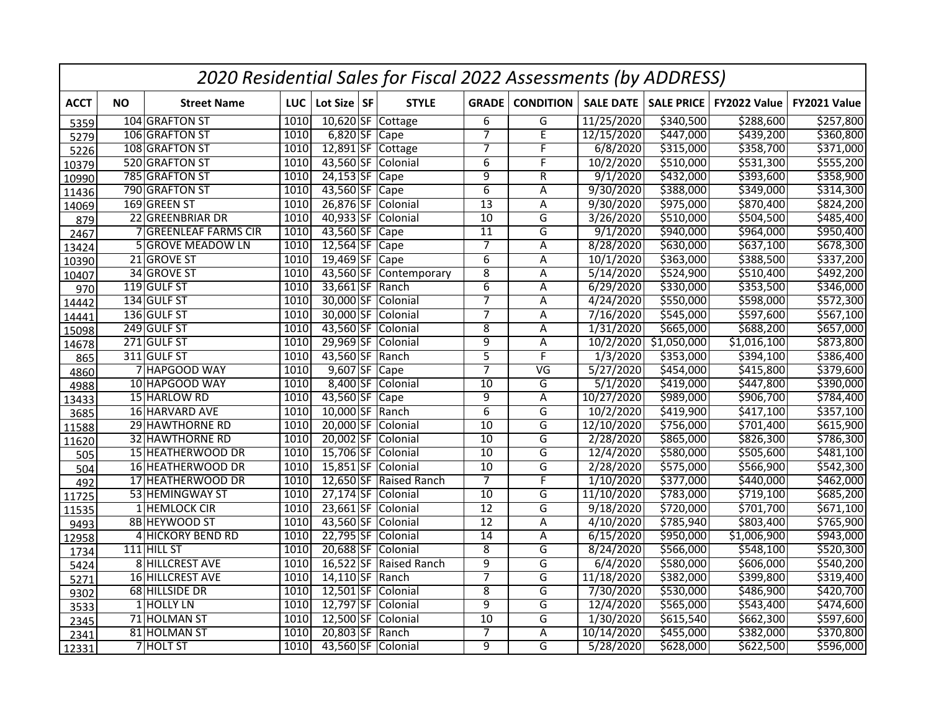|             |           |                        |            |                 | 2020 Residential Sales for Fiscal 2022 Assessments (by ADDRESS) |                 |                          |                  |                   |                       |              |
|-------------|-----------|------------------------|------------|-----------------|-----------------------------------------------------------------|-----------------|--------------------------|------------------|-------------------|-----------------------|--------------|
| <b>ACCT</b> | <b>NO</b> | <b>Street Name</b>     | <b>LUC</b> | Lot Size SF     | <b>STYLE</b>                                                    | <b>GRADE</b>    | <b>CONDITION</b>         | <b>SALE DATE</b> | <b>SALE PRICE</b> | FY2022 Value          | FY2021 Value |
| 5359        |           | 104 GRAFTON ST         | 1010       |                 | 10,620 SF Cottage                                               | 6               | G                        | 11/25/2020       | \$340,500         | \$288,600             | \$257,800    |
| 5279        |           | 106 GRAFTON ST         | 1010       | $6,820$ SF Cape |                                                                 | $\overline{7}$  | E                        | 12/15/2020       | \$447,000         | \$439,200             | \$360,800    |
| 5226        |           | 108 GRAFTON ST         | 1010       |                 | 12,891 SF Cottage                                               | 7               | F                        | 6/8/2020         | \$315,000         | \$358,700             | \$371,000    |
| 10379       |           | 520 GRAFTON ST         | 1010       |                 | 43,560 SF Colonial                                              | $\overline{6}$  | F                        | 10/2/2020        | \$510,000         | \$531,300             | \$555,200    |
| 10990       |           | 785 GRAFTON ST         | 1010       | $24,153$ SF     | $\overline{Cape}$                                               | 9               | R                        | 9/1/2020         | \$432,000         | \$393,600             | \$358,900    |
| 11436       |           | 790 GRAFTON ST         | 1010       | 43,560 SF       | $\vert$ Cape                                                    | $\overline{6}$  | Α                        | 9/30/2020        | \$388,000         | $\overline{$}349,000$ | \$314,300    |
| 14069       |           | 169 GREEN ST           | 1010       | 26,876 SF       | Colonial                                                        | 13              | $\overline{\mathsf{A}}$  | 9/30/2020        | \$975,000         | \$870,400             | \$824,200    |
| 879         |           | 22 GREENBRIAR DR       | 1010       | 40,933 SF       | Colonial                                                        | $\overline{10}$ | $\overline{\mathsf{G}}$  | 3/26/2020        | \$510,000         | \$504,500             | \$485,400    |
| 2467        |           | 7 GREENLEAF FARMS CIR  | 1010       | 43,560 SF       | Cape                                                            | $\overline{11}$ | G                        | 9/1/2020         | \$940,000         | 5964,000              | \$950,400    |
| 13424       |           | 5 GROVE MEADOW LN      | 1010       | $12,564$ SF     | Cape                                                            | $\overline{7}$  | Α                        | 8/28/2020        | \$630,000         | \$637,100             | \$678,300    |
| 10390       |           | 21 GROVE ST            | 1010       | $19,469$ SF     | Cape                                                            | $\overline{6}$  | A                        | 10/1/2020        | \$363,000         | \$388,500             | \$337,200    |
| 10407       |           | 34 GROVE ST            | 1010       |                 | 43,560 SF Contemporary                                          | 8               | A                        | 5/14/2020        | \$524,900         | \$510,400             | \$492,200    |
| 970         |           | 119 GULF ST            | 1010       | 33,661 SF       | Ranch                                                           | $\overline{6}$  | A                        | 6/29/2020        | \$330,000         | \$353,500             | \$346,000    |
| 14442       |           | 134 GULF ST            | 1010       | 30,000 SF       | Colonial                                                        | $\overline{7}$  | Α                        | 4/24/2020        | \$550,000         | \$598,000             | \$572,300    |
| 14441       |           | 136 GULF ST            | 1010       | 30,000 SF       | Colonial                                                        | $\overline{7}$  | A                        | 7/16/2020        | \$545,000         | \$597,600             | \$567,100    |
| 15098       |           | 249 GULF ST            | 1010       | 43,560 SF       | Colonial                                                        | 8               | Α                        | 1/31/2020        | \$665,000         | \$688,200             | \$657,000    |
| 14678       |           | 271 GULF ST            | 1010       | 29,969 SF       | Colonial                                                        | $\overline{9}$  | A                        | 10/2/2020        | \$1,050,000       | \$1,016,100           | \$873,800    |
| 865         |           | 311 GULF ST            | 1010       | 43,560 SF       | Ranch                                                           | $\overline{5}$  | F                        | 1/3/2020         | \$353,000         | \$394,100             | \$386,400    |
| 4860        |           | 7 HAPGOOD WAY          | 1010       | $9,607$ SF      | Cape                                                            | $\overline{7}$  | $\overline{\mathsf{VG}}$ | 5/27/2020        | \$454,000         | \$415,800             | \$379,600    |
| 4988        |           | 10 HAPGOOD WAY         | 1010       | 8,400 SF        | Colonial                                                        | $\overline{10}$ | G                        | 5/1/2020         | \$419,000         | \$447,800             | \$390,000    |
| 13433       |           | 15 HARLOW RD           | 1010       | 43,560 SF       | Cape                                                            | $\overline{9}$  | Α                        | 10/27/2020       | \$989,000         | \$906,700             | \$784,400    |
| 3685        |           | 16 HARVARD AVE         | 1010       | 10,000 SF       | Ranch                                                           | $\overline{6}$  | G                        | 10/2/2020        | \$419,900         | \$417,100             | \$357,100    |
| 11588       |           | 29 HAWTHORNE RD        | 1010       | 20,000 SF       | Colonial                                                        | 10              | $\overline{\mathsf{G}}$  | 12/10/2020       | \$756,000         | \$701,400             | \$615,900    |
| 11620       |           | <b>32 HAWTHORNE RD</b> | 1010       |                 | 20,002 SF Colonial                                              | $\overline{10}$ | G                        | 2/28/2020        | \$865,000         | \$826,300             | \$786,300    |
| 505         |           | 15 HEATHERWOOD DR      | 1010       |                 | 15,706 SF Colonial                                              | 10              | G                        | 12/4/2020        | \$580,000         | \$505,600             | \$481,100    |
| 504         |           | 16 HEATHERWOOD DR      | 1010       |                 | 15,851 SF Colonial                                              | $\overline{10}$ | $\overline{G}$           | 2/28/2020        | \$575,000         | \$566,900             | \$542,300    |
| 492         |           | 17 HEATHERWOOD DR      | 1010       |                 | 12,650 SF Raised Ranch                                          | $\overline{7}$  | $\overline{\mathsf{F}}$  | 1/10/2020        | \$377,000         | \$440,000             | \$462,000    |
| 11725       |           | 53 HEMINGWAY ST        | 1010       |                 | 27,174 SF Colonial                                              | 10              | G                        | 11/10/2020       | \$783,000         | 5719,100              | \$685,200    |
| 11535       |           | 1 HEMLOCK CIR          | 1010       | $23,661$ SF     | Colonial                                                        | $\overline{12}$ | $\overline{\mathsf{G}}$  | 9/18/2020        | \$720,000         | \$701,700             | \$671,100    |
| 9493        |           | 8B HEYWOOD ST          | 1010       |                 | 43,560 SF Colonial                                              | $\overline{12}$ | A                        | 4/10/2020        | \$785,940         | \$803,400             | \$765,900    |
| 12958       |           | 4 HICKORY BEND RD      | 1010       | 22,795 SF       | Colonial                                                        | 14              | Α                        | 6/15/2020        | \$950,000         | \$1,006,900           | \$943,000    |
| 1734        |           | 111 HILL ST            | 1010       | 20,688 SF       | Colonial                                                        | $\overline{8}$  | G                        | 8/24/2020        | \$566,000         | \$548,100             | \$520,300    |
| 5424        |           | 8 HILLCREST AVE        | 1010       |                 | 16,522 SF Raised Ranch                                          | $\overline{9}$  | G                        | 6/4/2020         | \$580,000         | \$606,000             | \$540,200    |
| 5271        |           | 16 HILLCREST AVE       | 1010       | 14,110 SF Ranch |                                                                 | $\overline{7}$  | $\overline{G}$           | 11/18/2020       | \$382,000         | \$399,800             | \$319,400    |
| 9302        |           | 68 HILLSIDE DR         | 1010       | $12,501$ SF     | Colonial                                                        | $\overline{8}$  | G                        | 7/30/2020        | \$530,000         | \$486,900             | \$420,700    |
| 3533        |           | 1 HOLLY LN             | 1010       | 12,797 SF       | Colonial                                                        | $\overline{9}$  | G                        | 12/4/2020        | \$565,000         | 5543,400              | \$474,600    |
| 2345        |           | 71 HOLMAN ST           | 1010       | 12,500 SF       | Colonial                                                        | $\overline{10}$ | G                        | 1/30/2020        | \$615,540         | \$662,300             | \$597,600    |
| 2341        |           | 81 HOLMAN ST           | 1010       | 20,803 SF       | Ranch                                                           | $\overline{7}$  | A                        | 10/14/2020       | \$455,000         | \$382,000             | \$370,800    |
| 12331       |           | 7 HOLT ST              | 1010       |                 | 43,560 SF Colonial                                              | $\overline{9}$  | G                        | 5/28/2020        | \$628,000         | \$622,500             | \$596,000    |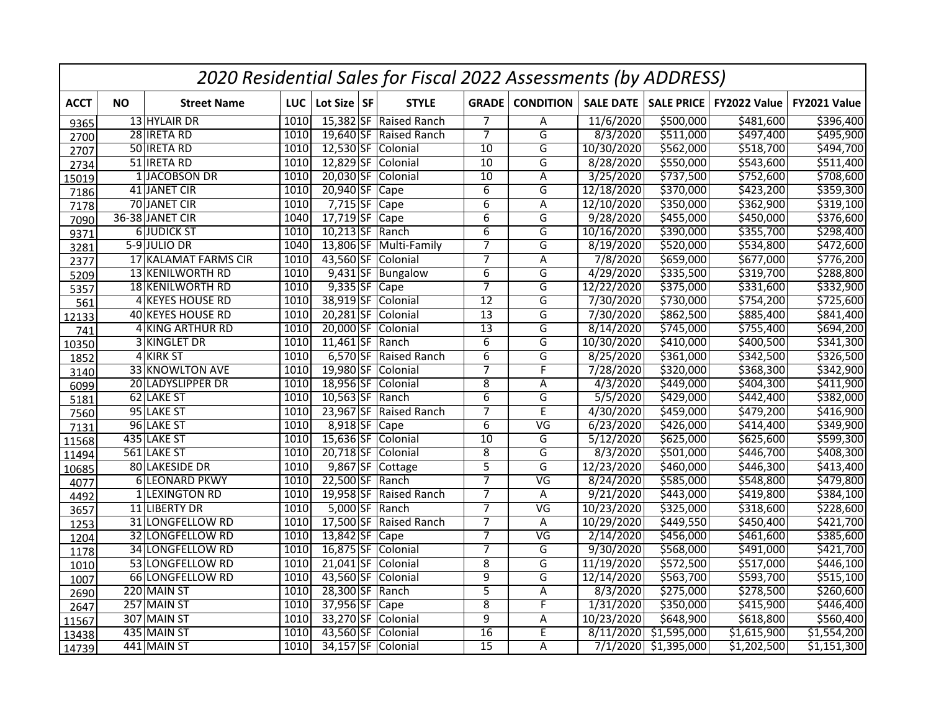|             |           |                         |            |                 | 2020 Residential Sales for Fiscal 2022 Assessments (by ADDRESS) |                 |                          |                  |                         |              |              |
|-------------|-----------|-------------------------|------------|-----------------|-----------------------------------------------------------------|-----------------|--------------------------|------------------|-------------------------|--------------|--------------|
| <b>ACCT</b> | <b>NO</b> | <b>Street Name</b>      | <b>LUC</b> | Lot Size SF     | <b>STYLE</b>                                                    | <b>GRADE</b>    | <b>CONDITION</b>         | <b>SALE DATE</b> | <b>SALE PRICE</b>       | FY2022 Value | FY2021 Value |
| 9365        |           | 13 HYLAIR DR            | 1010       |                 | 15,382 SF Raised Ranch                                          | $\overline{7}$  | Α                        | 11/6/2020        | \$500,000               | \$481,600    | \$396,400    |
| 2700        |           | 28 IRETA RD             | 1010       |                 | 19,640 SF Raised Ranch                                          | $\overline{7}$  | $\overline{G}$           | 8/3/2020         | \$511,000               | \$497,400    | \$495,900    |
| 2707        |           | 50 IRETA RD             | 1010       |                 | 12,530 SF Colonial                                              | $\overline{10}$ | G                        | 10/30/2020       | \$562,000               | \$518,700    | \$494,700    |
| 2734        |           | 51 IRETA RD             | 1010       |                 | 12,829 SF Colonial                                              | 10              | G                        | 8/28/2020        | \$550,000               | \$543,600    | \$511,400    |
| 15019       |           | 1 JACOBSON DR           | 1010       | 20,030 SF       | Colonial                                                        | $\overline{10}$ | Α                        | 3/25/2020        | \$737,500               | \$752,600    | \$708,600    |
| 7186        |           | 41 JANET CIR            | 1010       | 20,940 SF       | Cape                                                            | $\overline{6}$  | G                        | 12/18/2020       | \$370,000               | \$423,200    | \$359,300    |
| 7178        |           | 70 JANET CIR            | 1010       | $7,715$ SF      | Cape                                                            | $\overline{6}$  | $\overline{\mathsf{A}}$  | 12/10/2020       | \$350,000               | \$362,900    | \$319,100    |
| 7090        |           | 36-38 JANET CIR         | 1040       | $17,719$ SF     | Cape                                                            | $\overline{6}$  | $\overline{\mathsf{G}}$  | 9/28/2020        | \$455,000               | \$450,000    | \$376,600    |
| 9371        |           | <b>6JUDICK ST</b>       | 1010       | 10,213 SF Ranch |                                                                 | $\overline{6}$  | G                        | 10/16/2020       | \$390,000               | \$355,700    | \$298,400    |
| 3281        |           | $5-9$ JULIO DR          | 1040       |                 | 13,806 SF Multi-Family                                          | $\overline{7}$  | $\overline{G}$           | 8/19/2020        | \$520,000               | \$534,800    | \$472,600    |
| 2377        |           | 17 KALAMAT FARMS CIR    | 1010       | 43,560 SF       | Colonial                                                        | $\overline{7}$  | A                        | 7/8/2020         | \$659,000               | \$677,000    | \$776,200    |
| 5209        |           | 13 KENILWORTH RD        | 1010       |                 | 9,431 SF Bungalow                                               | $6\overline{6}$ | G                        | 4/29/2020        | \$335,500               | \$319,700    | \$288,800    |
| 5357        |           | <b>18 KENILWORTH RD</b> | 1010       | $9,335$ SF      | $\overline{Cape}$                                               | 7               | G                        | 12/22/2020       | \$375,000               | \$331,600    | \$332,900    |
| 561         |           | 4 KEYES HOUSE RD        | 1010       | 38,919 SF       | Colonial                                                        | $\overline{12}$ | G                        | 7/30/2020        | \$730,000               | \$754,200    | \$725,600    |
| 12133       |           | 40 KEYES HOUSE RD       | 1010       | $20,281$ SF     | Colonial                                                        | 13              | G                        | 7/30/2020        | \$862,500               | \$885,400    | \$841,400    |
| 741         |           | 4 KING ARTHUR RD        | 1010       | 20,000 SF       | Colonial                                                        | $\overline{13}$ | G                        | 8/14/2020        | \$745,000               | \$755,400    | \$694,200    |
| 10350       |           | 3 KINGLET DR            | 1010       | $11,461$ SF     | Ranch                                                           | $\overline{6}$  | G                        | 10/30/2020       | 5410,000                | \$400,500    | \$341,300    |
| 1852        |           | 4 KIRK ST               | 1010       |                 | 6,570 SF Raised Ranch                                           | $\overline{6}$  | $\overline{G}$           | 8/25/2020        | \$361,000               | \$342,500    | \$326,500    |
| 3140        |           | 33 KNOWLTON AVE         | 1010       | 19,980 SF       | Colonial                                                        | $\overline{7}$  | F                        | 7/28/2020        | \$320,000               | \$368,300    | \$342,900    |
| 6099        |           | 20 LADYSLIPPER DR       | 1010       | 18,956 SF       | Colonial                                                        | $\overline{8}$  | Α                        | 4/3/2020         | \$449,000               | \$404,300    | \$411,900    |
| 5181        |           | 62 LAKE ST              | 1010       | $10,563$ SF     | Ranch                                                           | $\overline{6}$  | G                        | 5/5/2020         | \$429,000               | \$442,400    | \$382,000    |
| 7560        |           | 95 LAKE ST              | 1010       | 23,967 SF       | Raised Ranch                                                    | $\overline{7}$  | $\overline{E}$           | 4/30/2020        | \$459,000               | \$479,200    | \$416,900    |
| 7131        |           | 96 LAKE ST              | 1010       | 8,918 SF Cape   |                                                                 | $\overline{6}$  | $\overline{\mathsf{VG}}$ | 6/23/2020        | \$426,000               | \$414,400    | \$349,900    |
| 11568       |           | 435 LAKE ST             | 1010       |                 | 15,636 SF Colonial                                              | $\overline{10}$ | $\overline{\mathsf{G}}$  | 5/12/2020        | \$625,000               | \$625,600    | \$599,300    |
| 11494       |           | 561 LAKE ST             | 1010       |                 | 20,718 SF Colonial                                              | $\overline{8}$  | G                        | 8/3/2020         | \$501,000               | \$446,700    | \$408,300    |
| 10685       |           | 80 LAKESIDE DR          | 1010       |                 | 9,867 SF Cottage                                                | $\overline{5}$  | $\overline{G}$           | 12/23/2020       | \$460,000               | \$446,300    | \$413,400    |
| 4077        |           | <b>6 LEONARD PKWY</b>   | 1010       | 22,500 SF Ranch |                                                                 | $\overline{7}$  | $\overline{\mathsf{VG}}$ | 8/24/2020        | \$585,000               | \$548,800    | \$479,800    |
| 4492        |           | 1 LEXINGTON RD          | 1010       |                 | 19,958 SF Raised Ranch                                          | $\overline{7}$  | Α                        | 9/21/2020        | \$443,000               | \$419,800    | \$384,100    |
| 3657        |           | 11 LIBERTY DR           | 1010       |                 | 5,000 SF Ranch                                                  | 7               | $\overline{\mathsf{VG}}$ | 10/23/2020       | \$325,000               | \$318,600    | \$228,600    |
| 1253        |           | 31 LONGFELLOW RD        | 1010       |                 | 17,500 SF Raised Ranch                                          | $\overline{7}$  | A                        | 10/29/2020       | \$449,550               | \$450,400    | \$421,700    |
| 1204        |           | 32 LONGFELLOW RD        | 1010       | 13,842 SF Cape  |                                                                 | $\overline{7}$  | $\overline{\mathsf{VG}}$ | 2/14/2020        | \$456,000               | \$461,600    | \$385,600    |
| 1178        |           | 34 LONGFELLOW RD        | 1010       | 16,875 SF       | Colonial                                                        | $\overline{7}$  | G                        | 9/30/2020        | \$568,000               | \$491,000    | \$421,700    |
| 1010        |           | 53 LONGFELLOW RD        | 1010       | $21,041$ SF     | Colonial                                                        | 8               | G                        | 11/19/2020       | \$572,500               | \$517,000    | \$446,100    |
| 1007        |           | 66 LONGFELLOW RD        | 1010       |                 | 43,560 SF Colonial                                              | $\overline{9}$  | $\overline{G}$           | 12/14/2020       | \$563,700               | \$593,700    | \$515,100    |
| 2690        |           | 220 MAIN ST             | 1010       | 28,300 SF Ranch |                                                                 | 5               | A                        | 8/3/2020         | \$275,000               | \$278,500    | \$260,600    |
| 2647        |           | 257 MAIN ST             | 1010       | 37,956 SF       | $\overline{)$ Cape                                              | $\overline{8}$  | F                        | 1/31/2020        | \$350,000               | \$415,900    | \$446,400    |
| 11567       |           | 307 MAIN ST             | 1010       | 33,270 SF       | Colonial                                                        | 9               | Α                        | 10/23/2020       | \$648,900               | \$618,800    | \$560,400    |
| 13438       |           | 435 MAIN ST             | 1010       | 43,560 SF       | Colonial                                                        | $\overline{16}$ | E                        | 8/11/2020        | $\overline{51,59}5,000$ | \$1,615,900  | \$1,554,200  |
| 14739       |           | 441 MAIN ST             | 1010       |                 | 34,157 SF Colonial                                              | $\overline{15}$ | A                        | 7/1/2020         | \$1,395,000             | \$1,202,500  | \$1,151,300  |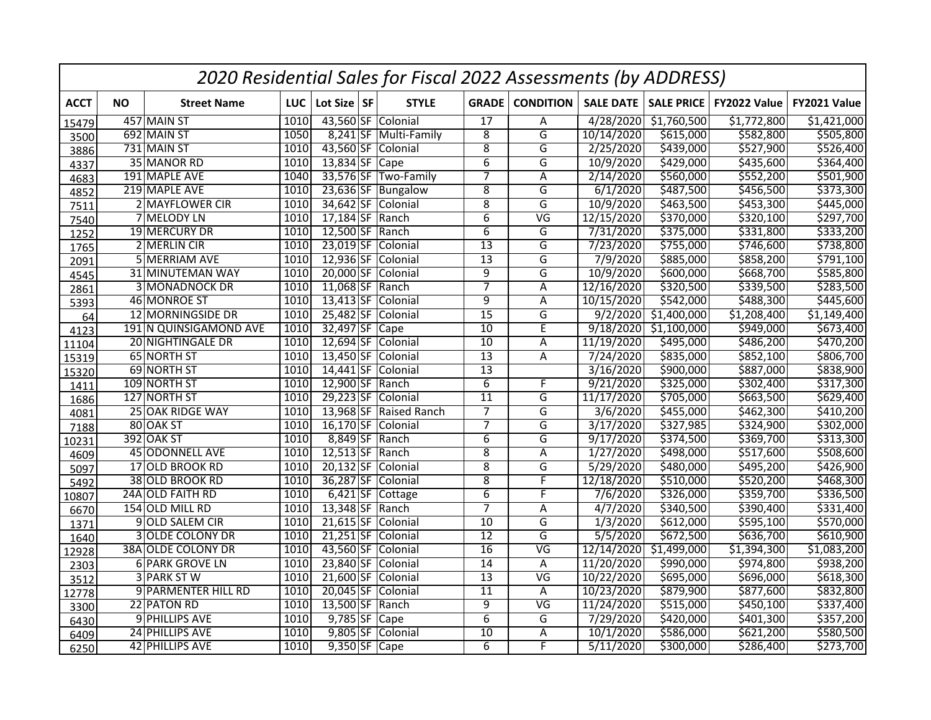|             |           |                           |      |                 | 2020 Residential Sales for Fiscal 2022 Assessments (by ADDRESS) |                 |                          |                  |                   |              |              |
|-------------|-----------|---------------------------|------|-----------------|-----------------------------------------------------------------|-----------------|--------------------------|------------------|-------------------|--------------|--------------|
| <b>ACCT</b> | <b>NO</b> | <b>Street Name</b>        | LUC  | Lot Size SF     | <b>STYLE</b>                                                    | <b>GRADE</b>    | <b>CONDITION</b>         | <b>SALE DATE</b> | <b>SALE PRICE</b> | FY2022 Value | FY2021 Value |
| 15479       |           | 457 MAIN ST               | 1010 |                 | 43,560 SF Colonial                                              | $\overline{17}$ | Α                        | 4/28/2020        | \$1,760,500       | \$1,772,800  | \$1,421,000  |
| 3500        |           | 692 MAIN ST               | 1050 |                 | 8,241 SF Multi-Family                                           | $\overline{8}$  | $\overline{G}$           | 10/14/2020       | \$615,000         | \$582,800    | \$505,800    |
| 3886        |           | 731 MAIN ST               | 1010 |                 | 43,560 SF Colonial                                              | $\overline{8}$  | G                        | 2/25/2020        | \$439,000         | \$527,900    | \$526,400    |
| 4337        |           | 35 MANOR RD               | 1010 | 13,834 SF Cape  |                                                                 | $\overline{6}$  | G                        | 10/9/2020        | \$429,000         | \$435,600    | \$364,400    |
| 4683        |           | 191 MAPLE AVE             | 1040 |                 | 33,576 SF Two-Family                                            | 7               | Α                        | 2/14/2020        | \$560,000         | \$552,200    | \$501,900    |
| 4852        |           | 219 MAPLE AVE             | 1010 |                 | 23,636 SF Bungalow                                              | $\overline{8}$  | G                        | 6/1/2020         | \$487,500         | \$456,500    | \$373,300    |
| 7511        |           | 2 MAYFLOWER CIR           | 1010 |                 | 34,642 SF Colonial                                              | $\overline{8}$  | G                        | 10/9/2020        | \$463,500         | 5453,300     | \$445,000    |
| 7540        |           | 7 MELODY LN               | 1010 | 17,184 SF       | Ranch                                                           | $\overline{6}$  | $\overline{\mathsf{VG}}$ | 12/15/2020       | \$370,000         | \$320,100    | \$297,700    |
| 1252        |           | 19 MERCURY DR             | 1010 | 12,500 SF Ranch |                                                                 | $\overline{6}$  | G                        | 7/31/2020        | \$375,000         | \$331,800    | \$333,200    |
| 1765        |           | 2 MERLIN CIR              | 1010 | $23,019$ SF     | Colonial                                                        | $\overline{13}$ | $\overline{G}$           | 7/23/2020        | \$755,000         | \$746,600    | \$738,800    |
| 2091        |           | 5 MERRIAM AVE             | 1010 | 12,936 SF       | Colonial                                                        | $\overline{13}$ | G                        | 7/9/2020         | \$885,000         | \$858,200    | 5791,100     |
| 4545        |           | 31 MINUTEMAN WAY          | 1010 | 20,000 SF       | Colonial                                                        | $\overline{9}$  | G                        | 10/9/2020        | \$600,000         | \$668,700    | \$585,800    |
| 2861        |           | <b>3 MONADNOCK DR</b>     | 1010 | $11,068$ SF     | Ranch                                                           | 7               | Α                        | 12/16/2020       | \$320,500         | \$339,500    | \$283,500    |
| 5393        |           | 46 MONROE ST              | 1010 | $13,413$ SF     | Colonial                                                        | 9               | A                        | 10/15/2020       | \$542,000         | \$488,300    | \$445,600    |
| 64          |           | 12 MORNINGSIDE DR         | 1010 | 25,482 SF       | Colonial                                                        | 15              | G                        | 9/2/2020         | \$1,400,000       | \$1,208,400  | \$1,149,400  |
| 4123        |           | 191 N QUINSIGAMOND AVE    | 1010 | 32,497 SF       | Cape                                                            | $\overline{10}$ | E                        | 9/18/2020        | \$1,100,000       | \$949,000    | \$673,400    |
| 11104       |           | 20 NIGHTINGALE DR         | 1010 |                 | 12,694 SF Colonial                                              | $\overline{10}$ | Α                        | 11/19/2020       | \$495,000         | \$486,200    | \$470,200    |
| 15319       |           | 65 NORTH ST               | 1010 |                 | 13,450 SF Colonial                                              | $\overline{13}$ | A                        | 7/24/2020        | \$835,000         | \$852,100    | \$806,700    |
| 15320       |           | 69 NORTH ST               | 1010 | $14,441$ SF     | Colonial                                                        | $\overline{13}$ |                          | 3/16/2020        | \$900,000         | \$887,000    | \$838,900    |
| 1411        |           | 109 NORTH ST              | 1010 | 12,900 SF Ranch |                                                                 | $\overline{6}$  | F                        | 9/21/2020        | \$325,000         | \$302,400    | \$317,300    |
| 1686        |           | 127 NORTH ST              | 1010 |                 | 29,223 SF Colonial                                              | $\overline{11}$ | G                        | 11/17/2020       | \$705,000         | \$663,500    | \$629,400    |
| 4081        |           | 25 OAK RIDGE WAY          | 1010 |                 | 13,968 SF Raised Ranch                                          | $\overline{7}$  | G                        | 3/6/2020         | \$455,000         | \$462,300    | \$410,200    |
| 7188        |           | 80 OAK ST                 | 1010 |                 | 16,170 SF Colonial                                              | $\overline{7}$  | G                        | 3/17/2020        | \$327,985         | \$324,900    | \$302,000    |
| 10231       |           | <b>392 OAK ST</b>         | 1010 |                 | 8,849 SF Ranch                                                  | $\overline{6}$  | $\overline{\mathsf{G}}$  | 9/17/2020        | \$374,500         | \$369,700    | \$313,300    |
| 4609        |           | 45 ODONNELL AVE           | 1010 | 12,513 SF Ranch |                                                                 | $\overline{8}$  | Α                        | 1/27/2020        | \$498,000         | \$517,600    | \$508,600    |
| 5097        |           | 17 OLD BROOK RD           | 1010 |                 | 20,132 SF Colonial                                              | $\overline{8}$  | $\overline{G}$           | 5/29/2020        | \$480,000         | \$495,200    | \$426,900    |
| 5492        |           | 38 OLD BROOK RD           | 1010 |                 | 36,287 SF Colonial                                              | $\overline{8}$  | F                        | 12/18/2020       | \$510,000         | \$520,200    | \$468,300    |
| 10807       |           | 24A OLD FAITH RD          | 1010 |                 | 6,421 SF Cottage                                                | $\overline{6}$  | F                        | 7/6/2020         | \$326,000         | \$359,700    | \$336,500    |
| 6670        |           | 154 OLD MILL RD           | 1010 | 13,348 SF Ranch |                                                                 | 7               | Α                        | 4/7/2020         | \$340,500         | \$390,400    | \$331,400    |
| 1371        |           | 9 OLD SALEM CIR           | 1010 |                 | 21,615 SF Colonial                                              | 10              | G                        | 1/3/2020         | \$612,000         | \$595,100    | \$570,000    |
| 1640        |           | <b>3 OLDE COLONY DR</b>   | 1010 |                 | 21,251 SF Colonial                                              | $\overline{12}$ | $\overline{G}$           | 5/5/2020         | \$672,500         | \$636,700    | \$610,900    |
| 12928       |           | <b>38A OLDE COLONY DR</b> | 1010 |                 | 43,560 SF Colonial                                              | $\overline{16}$ | $\overline{\mathsf{VG}}$ | 12/14/2020       | \$1,499,000       | \$1,394,300  | \$1,083,200  |
| 2303        |           | 6 PARK GROVE LN           | 1010 |                 | 23,840 SF Colonial                                              | $\overline{14}$ | Α                        | 11/20/2020       | \$990,000         | \$974,800    | \$938,200    |
| 3512        |           | 3 PARK ST W               | 1010 |                 | 21,600 SF Colonial                                              | $\overline{13}$ | $\overline{\mathsf{VG}}$ | 10/22/2020       | \$695,000         | \$696,000    | \$618,300    |
| 12778       |           | 9 PARMENTER HILL RD       | 1010 |                 | 20,045 SF Colonial                                              | $\overline{11}$ | Α                        | 10/23/2020       | \$879,900         | \$877,600    | \$832,800    |
| 3300        |           | 22 PATON RD               | 1010 | 13,500 SF Ranch |                                                                 | $\overline{9}$  | $\overline{\mathsf{VG}}$ | 11/24/2020       | \$515,000         | 5450,100     | \$337,400    |
| 6430        |           | 9 PHILLIPS AVE            | 1010 | 9,785 SF Cape   |                                                                 | 6               | G                        | 7/29/2020        | \$420,000         | \$401,300    | \$357,200    |
| 6409        |           | 24 PHILLIPS AVE           | 1010 | $9,805$ SF      | Colonial                                                        | 10              | A                        | 10/1/2020        | \$586,000         | \$621,200    | \$580,500    |
| 6250        |           | 42 PHILLIPS AVE           | 1010 | $9,350$ SF Cape |                                                                 | $\overline{6}$  | F                        | 5/11/2020        | \$300,000         | \$286,400    | \$273,700    |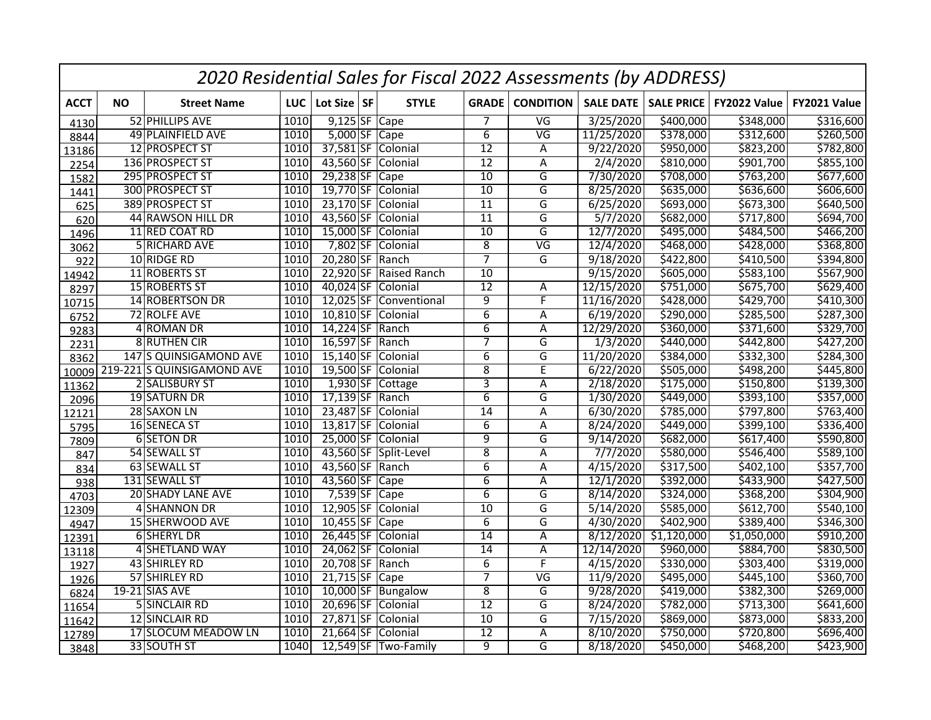|             |           |                            |      |                 | 2020 Residential Sales for Fiscal 2022 Assessments (by ADDRESS) |                 |                          |                        |                   |              |              |
|-------------|-----------|----------------------------|------|-----------------|-----------------------------------------------------------------|-----------------|--------------------------|------------------------|-------------------|--------------|--------------|
| <b>ACCT</b> | <b>NO</b> | <b>Street Name</b>         | LUC  | Lot Size SF     | <b>STYLE</b>                                                    | <b>GRADE</b>    | <b>CONDITION</b>         | <b>SALE DATE</b>       | <b>SALE PRICE</b> | FY2022 Value | FY2021 Value |
| 4130        |           | 52 PHILLIPS AVE            | 1010 | $9,125$ SF Cape |                                                                 | $\overline{7}$  | $\overline{\mathsf{VG}}$ | 3/25/2020              | \$400,000         | \$348,000    | \$316,600    |
| 8844        |           | 49 PLAINFIELD AVE          | 1010 | $5,000$ SF Cape |                                                                 | 6               | $\overline{\mathsf{VG}}$ | 11/25/2020             | \$378,000         | \$312,600    | \$260,500    |
| 13186       |           | 12 PROSPECT ST             | 1010 |                 | 37,581 SF Colonial                                              | $\overline{12}$ | $\overline{A}$           | 9/22/2020              | \$950,000         | \$823,200    | \$782,800    |
| 2254        |           | 136 PROSPECT ST            | 1010 |                 | 43,560 SF Colonial                                              | 12              | A                        | 2/4/2020               | \$810,000         | \$901,700    | \$855,100    |
| 1582        |           | 295 PROSPECT ST            | 1010 | 29,238 SF Cape  |                                                                 | $\overline{10}$ | $\overline{\mathsf{G}}$  | 7/30/2020              | \$708,000         | \$763,200    | \$677,600    |
| 1441        |           | 300 PROSPECT ST            | 1010 | 19,770 SF       | Colonial                                                        | 10              | G                        | 8/25/2020              | \$635,000         | \$636,600    | \$606,600    |
| 625         |           | 389 PROSPECT ST            | 1010 |                 | 23,170 SF Colonial                                              | $\overline{11}$ | G                        | 6/25/2020              | \$693,000         | 5673,300     | \$640,500    |
| 620         |           | 44 RAWSON HILL DR          | 1010 | 43,560 SF       | Colonial                                                        | $\overline{11}$ | $\overline{\mathsf{G}}$  | 5/7/2020               | \$682,000         | \$717,800    | \$694,700    |
| 1496        |           | 11 RED COAT RD             | 1010 | 15,000 SF       | Colonial                                                        | $\overline{10}$ | G                        | 12/7/2020              | \$495,000         | \$484,500    | \$466,200    |
| 3062        |           | 5 RICHARD AVE              | 1010 | 7,802 SF        | Colonial                                                        | $\overline{8}$  | $\overline{\mathsf{VG}}$ | 12/4/2020              | \$468,000         | \$428,000    | \$368,800    |
| 922         |           | 10 RIDGE RD                | 1010 | 20,280 SF Ranch |                                                                 | $\overline{7}$  | G                        | 9/18/2020              | \$422,800         | \$410,500    | \$394,800    |
| 14942       |           | 11 ROBERTS ST              | 1010 | 22,920 SF       | Raised Ranch                                                    | 10              |                          | 9/15/2020              | \$605,000         | 5583,100     | \$567,900    |
| 8297        |           | 15 ROBERTS ST              | 1010 | 40,024 SF       | Colonial                                                        | $\overline{12}$ | Α                        | 12/15/2020             | \$751,000         | \$675,700    | \$629,400    |
| 10715       |           | 14 ROBERTSON DR            | 1010 | $12,025$ SF     | Conventional                                                    | $\overline{9}$  | F                        | 11/16/2020             | \$428,000         | \$429,700    | \$410,300    |
| 6752        |           | 72 ROLFE AVE               | 1010 | $10,810$ SF     | Colonial                                                        | $\overline{6}$  | $\overline{A}$           | 6/19/2020              | \$290,000         | \$285,500    | \$287,300    |
| 9283        |           | 4 ROMAN DR                 | 1010 | $14,224$ SF     | Ranch                                                           | 6               | A                        | 12/29/2020             | \$360,000         | \$371,600    | \$329,700    |
| 2231        |           | 8 RUTHEN CIR               | 1010 | 16,597 SF       | Ranch                                                           | 7               | G                        | 1/3/2020               | \$440,000         | \$442,800    | \$427,200    |
| 8362        |           | 147 S QUINSIGAMOND AVE     | 1010 | $15,140$ SF     | Colonial                                                        | $\overline{6}$  | $\overline{G}$           | 11/20/2020             | \$384,000         | \$332,300    | \$284,300    |
| 10009       |           | 219-221 S QUINSIGAMOND AVE | 1010 | 19,500 SF       | Colonial                                                        | $\overline{8}$  | E                        | 6/22/2020              | \$505,000         | \$498,200    | \$445,800    |
| 11362       |           | 2 SALISBURY ST             | 1010 |                 | 1,930 SF Cottage                                                | 3               | Α                        | 2/18/2020              | \$175,000         | \$150,800    | \$139,300    |
| 2096        |           | 19 SATURN DR               | 1010 | $17,139$ SF     | Ranch                                                           | 6               | G                        | 1/30/2020              | \$449,000         | \$393,100    | \$357,000    |
| 12121       |           | 28 SAXON LN                | 1010 |                 | 23,487 SF Colonial                                              | $\overline{14}$ | Α                        | 6/30/2020              | \$785,000         | \$797,800    | \$763,400    |
| 5795        |           | 16 SENECA ST               | 1010 |                 | 13,817 SF Colonial                                              | $\overline{6}$  | A                        | 8/24/2020              | \$449,000         | \$399,100    | \$336,400    |
| 7809        |           | 6 SETON DR                 | 1010 |                 | 25,000 SF Colonial                                              | $\overline{9}$  | G                        | 9/14/2020              | \$682,000         | \$617,400    | \$590,800    |
| 847         |           | 54 SEWALL ST               | 1010 |                 | 43,560 SF Split-Level                                           | $\overline{8}$  | Α                        | 7/7/2020               | \$580,000         | \$546,400    | \$589,100    |
| 834         |           | 63 SEWALL ST               | 1010 | 43,560 SF Ranch |                                                                 | $\overline{6}$  | Α                        | 4/15/2020              | \$317,500         | \$402,100    | \$357,700    |
| 938         |           | 131 SEWALL ST              | 1010 | 43,560 SF       | $\vert$ Cape                                                    | $\overline{6}$  | Α                        | 12/1/2020              | \$392,000         | \$433,900    | \$427,500    |
| 4703        |           | 20 SHADY LANE AVE          | 1010 | 7,539 SF Cape   |                                                                 | $\overline{6}$  | G                        | 8/14/2020              | \$324,000         | \$368,200    | \$304,900    |
| 12309       |           | 4 SHANNON DR               | 1010 | $12,905$ SF     | Colonial                                                        | $\overline{10}$ | G                        | 5/14/2020              | \$585,000         | \$612,700    | \$540,100    |
| 4947        |           | 15 SHERWOOD AVE            | 1010 | $10,455$ SF     | Cape                                                            | $\overline{6}$  | G                        | 4/30/2020              | \$402,900         | \$389,400    | \$346,300    |
| 12391       |           | 6 SHERYL DR                | 1010 | 26,445 SF       | Colonial                                                        | $\overline{14}$ | A                        | 8/12/2020              | \$1,120,000       | \$1,050,000  | \$910,200    |
| 13118       |           | 4 SHETLAND WAY             | 1010 | 24,062 SF       | Colonial                                                        | $\overline{14}$ | Α                        | 12/14/2020             | \$960,000         | \$884,700    | \$830,500    |
| 1927        |           | 43 SHIRLEY RD              | 1010 | 20,708 SF       | Ranch                                                           | $\overline{6}$  | F                        | 4/15/2020              | \$330,000         | \$303,400    | \$319,000    |
| 1926        |           | 57 SHIRLEY RD              | 1010 | $21,715$ SF     | Cape                                                            | $\overline{7}$  | $\overline{\mathsf{VG}}$ | 11/9/2020              | \$495,000         | 5445,100     | \$360,700    |
| 6824        |           | 19-21 SIAS AVE             | 1010 | 10,000 SF       | Bungalow                                                        | $\overline{8}$  | G                        | 9/28/2020              | \$419,000         | \$382,300    | \$269,000    |
| 11654       |           | 5 SINCLAIR RD              | 1010 | 20,696 SF       | Colonial                                                        | $\overline{12}$ | G                        | 8/24/2020              | \$782,000         | \$713,300    | \$641,600    |
| 11642       |           | 12 SINCLAIR RD             | 1010 | 27,871 SF       | Colonial                                                        | $\overline{10}$ | $\overline{\mathsf{G}}$  | 7/15/2020              | \$869,000         | \$873,000    | \$833,200    |
| 12789       |           | 17 SLOCUM MEADOW LN        | 1010 | $21,664$ SF     | Colonial                                                        | $\overline{12}$ | Α                        | $8/\overline{10/2020}$ | \$750,000         | \$720,800    | \$696,400    |
| 3848        |           | 33 SOUTH ST                | 1040 |                 | 12,549 SF Two-Family                                            | $\overline{9}$  | $\overline{G}$           | 8/18/2020              | \$450,000         | \$468,200    | \$423,900    |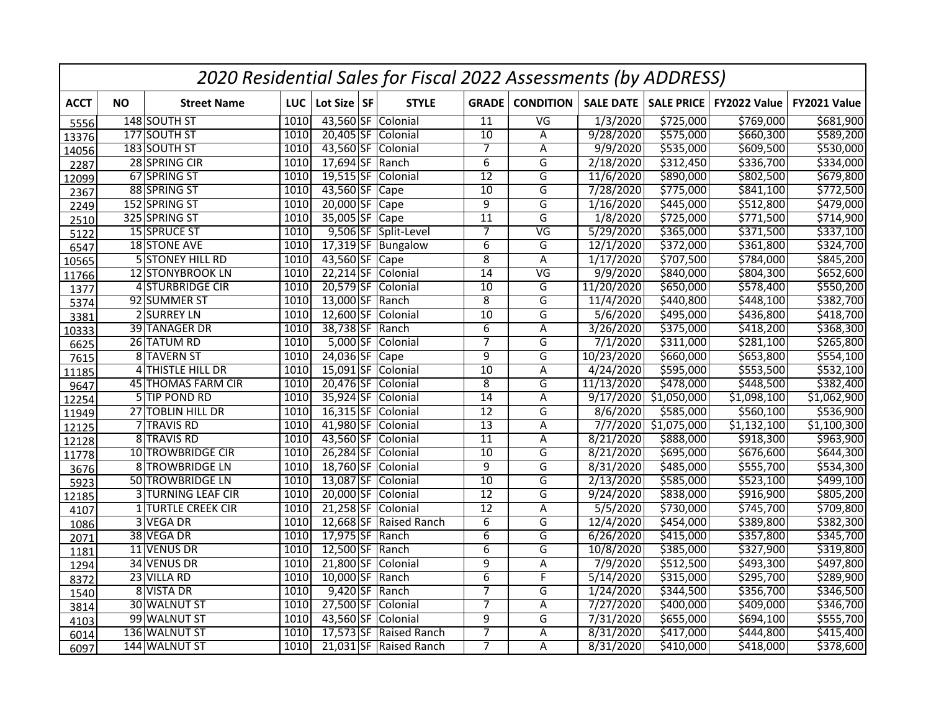|             |           |                           |      |                 | 2020 Residential Sales for Fiscal 2022 Assessments (by ADDRESS) |                 |                          |                  |                   |              |              |
|-------------|-----------|---------------------------|------|-----------------|-----------------------------------------------------------------|-----------------|--------------------------|------------------|-------------------|--------------|--------------|
| <b>ACCT</b> | <b>NO</b> | <b>Street Name</b>        | LUC  | Lot Size SF     | <b>STYLE</b>                                                    | <b>GRADE</b>    | <b>CONDITION</b>         | <b>SALE DATE</b> | <b>SALE PRICE</b> | FY2022 Value | FY2021 Value |
| 5556        |           | 148 SOUTH ST              | 1010 |                 | 43,560 SF Colonial                                              | $\overline{11}$ | $\overline{\mathsf{VG}}$ | 1/3/2020         | \$725,000         | \$769,000    | \$681,900    |
| 13376       |           | 177 SOUTH ST              | 1010 |                 | 20,405 SF Colonial                                              | 10              | A                        | 9/28/2020        | \$575,000         | \$660,300    | \$589,200    |
| 14056       |           | 183 SOUTH ST              | 1010 |                 | 43,560 SF Colonial                                              | $\overline{7}$  | Α                        | 9/9/2020         | \$535,000         | \$609,500    | \$530,000    |
| 2287        |           | 28 SPRING CIR             | 1010 | 17,694 SF Ranch |                                                                 | $\overline{6}$  | G                        | 2/18/2020        | \$312,450         | \$336,700    | \$334,000    |
| 12099       |           | 67 SPRING ST              | 1010 |                 | 19,515 SF Colonial                                              | $\overline{12}$ | G                        | 11/6/2020        | \$890,000         | \$802,500    | \$679,800    |
| 2367        |           | 88 SPRING ST              | 1010 | 43,560 SF Cape  |                                                                 | 10              | G                        | 7/28/2020        | \$775,000         | \$841,100    | \$772,500    |
| 2249        |           | 152 SPRING ST             | 1010 | 20,000 SF Cape  |                                                                 | $\overline{9}$  | G                        | 1/16/2020        | \$445,000         | \$512,800    | \$479,000    |
| 2510        |           | 325 SPRING ST             | 1010 | 35,005 SF       | Cape                                                            | $\overline{11}$ | $\overline{\mathsf{G}}$  | 1/8/2020         | \$725,000         | \$771,500    | \$714,900    |
| 5122        |           | 15 SPRUCE ST              | 1010 |                 | 9,506 SF Split-Level                                            | $\overline{7}$  | $\overline{\mathsf{VG}}$ | 5/29/2020        | \$365,000         | \$371,500    | \$337,100    |
| 6547        |           | 18 STONE AVE              | 1010 |                 | 17,319 SF Bungalow                                              | $\overline{6}$  | G                        | 12/1/2020        | \$372,000         | \$361,800    | \$324,700    |
| 10565       |           | <b>5 STONEY HILL RD</b>   | 1010 | 43,560 SF Cape  |                                                                 | $\overline{8}$  | A                        | 1/17/2020        | \$707,500         | \$784,000    | \$845,200    |
| 11766       |           | 12 STONYBROOK LN          | 1010 |                 | 22,214 SF Colonial                                              | 14              | VG                       | 9/9/2020         | \$840,000         | \$804,300    | \$652,600    |
| 1377        |           | 4 STURBRIDGE CIR          | 1010 | 20,579 SF       | Colonial                                                        | $\overline{10}$ | G                        | 11/20/2020       | \$650,000         | \$578,400    | \$550,200    |
| 5374        |           | 92 SUMMER ST              | 1010 | 13,000 SF       | Ranch                                                           | $\overline{8}$  | G                        | 11/4/2020        | \$440,800         | \$448,100    | \$382,700    |
| 3381        |           | 2 SURREY LN               | 1010 | $12,600$ SF     | Colonial                                                        | 10              | G                        | 5/6/2020         | \$495,000         | \$436,800    | \$418,700    |
| 10333       |           | 39 TANAGER DR             | 1010 | 38,738 SF       | Ranch                                                           | $\overline{6}$  | Α                        | 3/26/2020        | \$375,000         | \$418,200    | \$368,300    |
| 6625        |           | 26 TATUM RD               | 1010 | $5,000$ SF      | Colonial                                                        | $\overline{7}$  | G                        | 7/1/2020         | \$311,000         | \$281,100    | \$265,800    |
| 7615        |           | 8 TAVERN ST               | 1010 | 24,036 SF Cape  |                                                                 | $\overline{9}$  | G                        | 10/23/2020       | \$660,000         | \$653,800    | \$554,100    |
| 11185       |           | 4 THISTLE HILL DR         | 1010 | $15,091$ SF     | Colonial                                                        | $\overline{10}$ | A                        | 4/24/2020        | \$595,000         | \$553,500    | \$532,100    |
| 9647        |           | 45 THOMAS FARM CIR        | 1010 |                 | 20,476 SF Colonial                                              | $\overline{8}$  | G                        | 11/13/2020       | \$478,000         | \$448,500    | \$382,400    |
| 12254       |           | 5 TIP POND RD             | 1010 | 35,924 SF       | Colonial                                                        | $\overline{14}$ | A                        | 9/17/2020        | \$1,050,000       | \$1,098,100  | \$1,062,900  |
| 11949       |           | 27 TOBLIN HILL DR         | 1010 |                 | 16,315 SF Colonial                                              | $\overline{12}$ | G                        | 8/6/2020         | \$585,000         | \$560,100    | \$536,900    |
| 12125       |           | 7 TRAVIS RD               | 1010 |                 | 41,980 SF Colonial                                              | $\overline{13}$ | $\overline{A}$           | 7/7/2020         | \$1,075,000       | \$1,132,100  | \$1,100,300  |
| 12128       |           | 8 TRAVIS RD               | 1010 |                 | 43,560 SF Colonial                                              | $\overline{11}$ | A                        | 8/21/2020        | \$888,000         | \$918,300    | \$963,900    |
| 11778       |           | <b>10 TROWBRIDGE CIR</b>  | 1010 |                 | 26,284 SF Colonial                                              | 10              | G                        | 8/21/2020        | \$695,000         | \$676,600    | \$644,300    |
| 3676        |           | 8 TROWBRIDGE LN           | 1010 |                 | 18,760 SF Colonial                                              | $\overline{9}$  | $\overline{G}$           | 8/31/2020        | \$485,000         | \$555,700    | \$534,300    |
| 5923        |           | <b>50 TROWBRIDGE LN</b>   | 1010 |                 | 13,087 SF Colonial                                              | $\overline{10}$ | $\overline{\mathsf{G}}$  | 2/13/2020        | \$585,000         | 5523,100     | \$499,100    |
| 12185       |           | <b>3 TURNING LEAF CIR</b> | 1010 |                 | 20,000 SF Colonial                                              | 12              | G                        | 9/24/2020        | \$838,000         | \$916,900    | \$805,200    |
| 4107        |           | <b>1 TURTLE CREEK CIR</b> | 1010 |                 | 21,258 SF Colonial                                              | $\overline{12}$ | Α                        | 5/5/2020         | \$730,000         | \$745,700    | \$709,800    |
| 1086        |           | 3 VEGA DR                 | 1010 |                 | 12,668 SF Raised Ranch                                          | $\overline{6}$  | G                        | 12/4/2020        | \$454,000         | \$389,800    | \$382,300    |
| 2071        |           | 38 VEGA DR                | 1010 | 17,975 SF Ranch |                                                                 | $6\overline{6}$ | G                        | 6/26/2020        | \$415,000         | \$357,800    | \$345,700    |
| 1181        |           | 11 VENUS DR               | 1010 | 12,500 SF Ranch |                                                                 | $\overline{6}$  | G                        | 10/8/2020        | \$385,000         | \$327,900    | \$319,800    |
| 1294        |           | 34 VENUS DR               | 1010 |                 | 21,800 SF Colonial                                              | $\overline{9}$  | Α                        | 7/9/2020         | \$512,500         | \$493,300    | \$497,800    |
| 8372        |           | 23 VILLA RD               | 1010 | 10,000 SF Ranch |                                                                 | $\overline{6}$  | F                        | 5/14/2020        | \$315,000         | \$295,700    | \$289,900    |
| 1540        |           | 8 VISTA DR                | 1010 | 9,420 SF Ranch  |                                                                 | $\overline{7}$  | G                        | 1/24/2020        | \$344,500         | \$356,700    | \$346,500    |
| 3814        |           | 30 WALNUT ST              | 1010 |                 | 27,500 SF Colonial                                              | $\overline{7}$  | A                        | 7/27/2020        | \$400,000         | \$409,000    | \$346,700    |
| 4103        |           | 99 WALNUT ST              | 1010 |                 | 43,560 SF Colonial                                              | 9               | G                        | 7/31/2020        | \$655,000         | \$694,100    | \$555,700    |
| 6014        |           | 136 WALNUT ST             | 1010 |                 | 17,573 SF Raised Ranch                                          | $\overline{7}$  | A                        | 8/31/2020        | \$417,000         | \$444,800    | \$415,400    |
| 6097        |           | 144 WALNUT ST             | 1010 |                 | 21,031 SF Raised Ranch                                          | 7               | A                        | 8/31/2020        | \$410,000         | \$418,000    | \$378,600    |